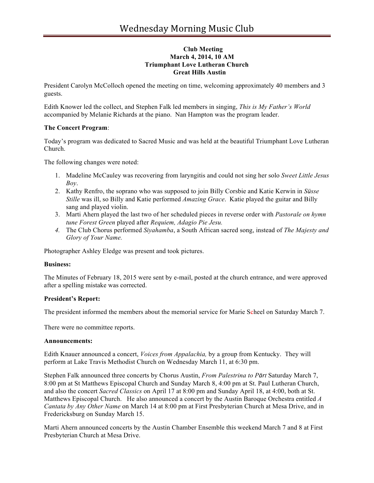# **Club Meeting March 4, 2014, 10 AM Triumphant Love Lutheran Church Great Hills Austin**

President Carolyn McColloch opened the meeting on time, welcoming approximately 40 members and 3 guests.

Edith Knower led the collect, and Stephen Falk led members in singing, *This is My Father's World* accompanied by Melanie Richards at the piano. Nan Hampton was the program leader.

# **The Concert Program**:

Today's program was dedicated to Sacred Music and was held at the beautiful Triumphant Love Lutheran Church.

The following changes were noted:

- 1. Madeline McCauley was recovering from laryngitis and could not sing her solo *Sweet Little Jesus Boy*.
- 2. Kathy Renfro, the soprano who was supposed to join Billy Corsbie and Katie Kerwin in *Süsse Stille* was ill, so Billy and Katie performed *Amazing Grace*. Katie played the guitar and Billy sang and played violin.
- 3. Marti Ahern played the last two of her scheduled pieces in reverse order with *Pastorale on hymn tune Forest Green* played after *Requiem, Adagio Pie Jesu.*
- *4.* The Club Chorus performed *Siyahamba*, a South African sacred song, instead of *The Majesty and Glory of Your Name.*

Photographer Ashley Eledge was present and took pictures.

### **Business:**

The Minutes of February 18, 2015 were sent by e-mail, posted at the church entrance, and were approved after a spelling mistake was corrected.

### **President's Report:**

The president informed the members about the memorial service for Marie Scheel on Saturday March 7.

There were no committee reports.

#### **Announcements:**

Edith Knauer announced a concert, *Voices from Appalachia,* by a group from Kentucky. They will perform at Lake Travis Methodist Church on Wednesday March 11, at 6:30 pm.

Stephen Falk announced three concerts by Chorus Austin, *From Palestrina to Pärt* Saturday March 7, 8:00 pm at St Matthews Episcopal Church and Sunday March 8, 4:00 pm at St. Paul Lutheran Church, and also the concert *Sacred Classics* on April 17 at 8:00 pm and Sunday April 18, at 4:00, both at St. Matthews Episcopal Church. He also announced a concert by the Austin Baroque Orchestra entitled *A Cantata by Any Other Name* on March 14 at 8:00 pm at First Presbyterian Church at Mesa Drive, and in Fredericksburg on Sunday March 15.

Marti Ahern announced concerts by the Austin Chamber Ensemble this weekend March 7 and 8 at First Presbyterian Church at Mesa Drive.